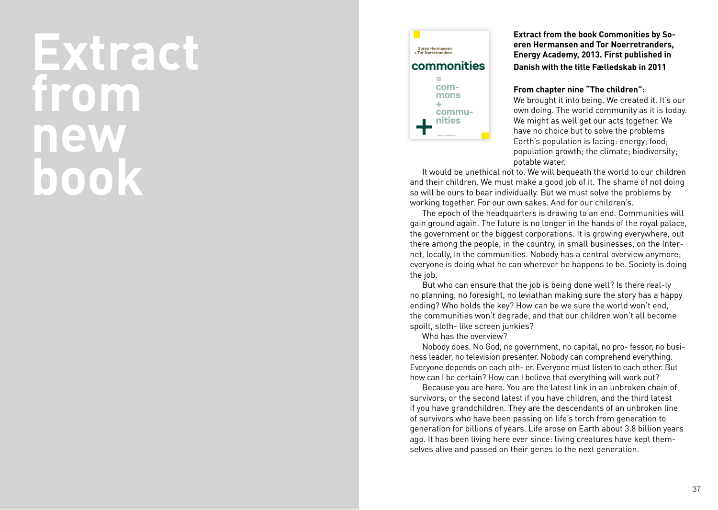## **Extract from new book**



Fællesskab kan overvinde de kræfter der splitter samfund. Efter årtier præget af småtskårenhed er samarbejde igen på dagsordenen. Klimakrisen og den grønne udfordring kalder på nysgerrighed og lyst til at skabe nyt. Fremtidens løsninger kommer ikke fra hovedkvartererne, men fra udkanter, hvor folk forvalter fælles ressourcer i fællesskab. Denne bog handler om fællesskab i praksis og om samarbejdets teori. Søren Hermansen beretter hvordan Samsøs beboere har skabt et af verdens mest fremtrædende fællesskaber omkring vedvarende energi. Tor Nørretranders beretter om den begyndende videnskabelige forståelse af, hvordan det kunne lade sig gøre at skabe en folkeejet klimarevolution.

**Extract from the book Commonities by So eren Hermansen and Tor Noerretranders, Energy Academy, 2013. First published in Danish with the title Fælledskab in 2011**

## **From chapter nine "The children":**

We brought it into being. We created it. It's our own doing. The world community as it is today. We might as well get our acts together. We have no choice but to solve the problems Earth's population is facing: energy; food; population growth; the climate; biodiversity; potable water.

It would be unethical not to. We will bequeath the world to our children and their children. We must make a good job of it. The shame of not doing so will be ours to bear individually. But we must solve the problems by working together. For our own sakes. And for our children's.

The epoch of the headquarters is drawing to an end. Communities will gain ground again. The future is no longer in the hands of the royal palace, the government or the biggest corporations. It is growing everywhere, out there among the people, in the country, in small businesses, on the Inter net, locally, in the communities. Nobody has a central overview anymore; everyone is doing what he can wherever he happens to be. Society is doing the job.

But who can ensure that the job is being done well? Is there real-ly no planning, no foresight, no leviathan making sure the story has a happy ending? Who holds the key? How can be we sure the world won't end, the communities won't degrade, and that our children won't all become spoilt, sloth- like screen junkies?

Who has the overview?

Nobody does. No God, no government, no capital, no pro- fessor, no busi ness leader, no television presenter. Nobody can comprehend everything. Everyone depends on each oth- er. Everyone must listen to each other. But how can I be certain? How can I believe that everything will work out?

Because you are here. You are the latest link in an unbroken chain of survivors, or the second latest if you have children, and the third latest if you have grandchildren. They are the descendants of an unbroken line of survivors who have been passing on life's torch from generation to generation for billions of years. Life arose on Earth about 3.8 billion years ago. It has been living here ever since: living creatures have kept them selves alive and passed on their genes to the next generation.